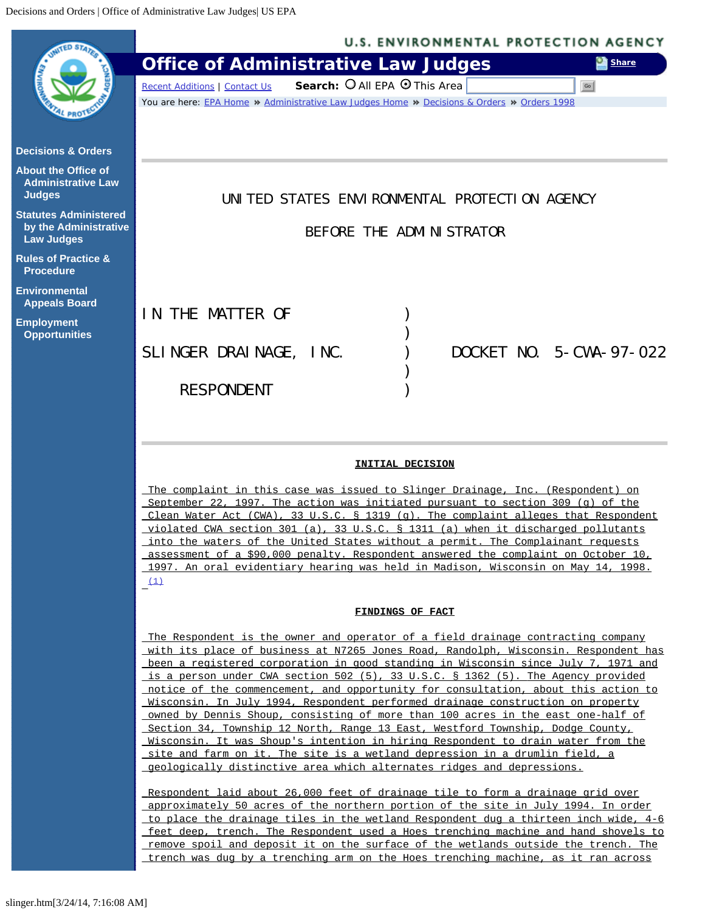<span id="page-0-0"></span>

## **INITIAL DECISION**

The complaint in this case was issued to Slinger Drainage, Inc. (Respondent) on September 22, 1997. The action was initiated pursuant to section 309 (g) of the Clean Water Act (CWA), 33 U.S.C. § 1319 (q). The complaint alleges that Respondent violated CWA section 301 (a), 33 U.S.C. § 1311 (a) when it discharged pollutants into the waters of the United States without a permit. The Complainant requests assessment of a \$90,000 penalty. Respondent answered the complaint on October 10, 1997. An oral evidentiary hearing was held in Madison, Wisconsin on May 14, 1998.  $(1)$ 

### **FINDINGS OF FACT**

The Respondent is the owner and operator of a field drainage contracting company with its place of business at N7265 Jones Road, Randolph, Wisconsin. Respondent has been a registered corporation in good standing in Wisconsin since July 7, 1971 and is a person under CWA section 502 (5), 33 U.S.C. § 1362 (5). The Agency provided notice of the commencement, and opportunity for consultation, about this action to Wisconsin. In July 1994, Respondent performed drainage construction on property owned by Dennis Shoup, consisting of more than 100 acres in the east one-half of Section 34, Township 12 North, Range 13 East, Westford Township, Dodge County, Wisconsin. It was Shoup's intention in hiring Respondent to drain water from the site and farm on it. The site is a wetland depression in a drumlin field, a geologically distinctive area which alternates ridges and depressions.

Respondent laid about 26,000 feet of drainage tile to form a drainage grid over approximately 50 acres of the northern portion of the site in July 1994. In order to place the drainage tiles in the wetland Respondent dug a thirteen inch wide, 4-6 feet deep, trench. The Respondent used a Hoes trenching machine and hand shovels to remove spoil and deposit it on the surface of the wetlands outside the trench. The trench was dug by a trenching arm on the Hoes trenching machine, as it ran across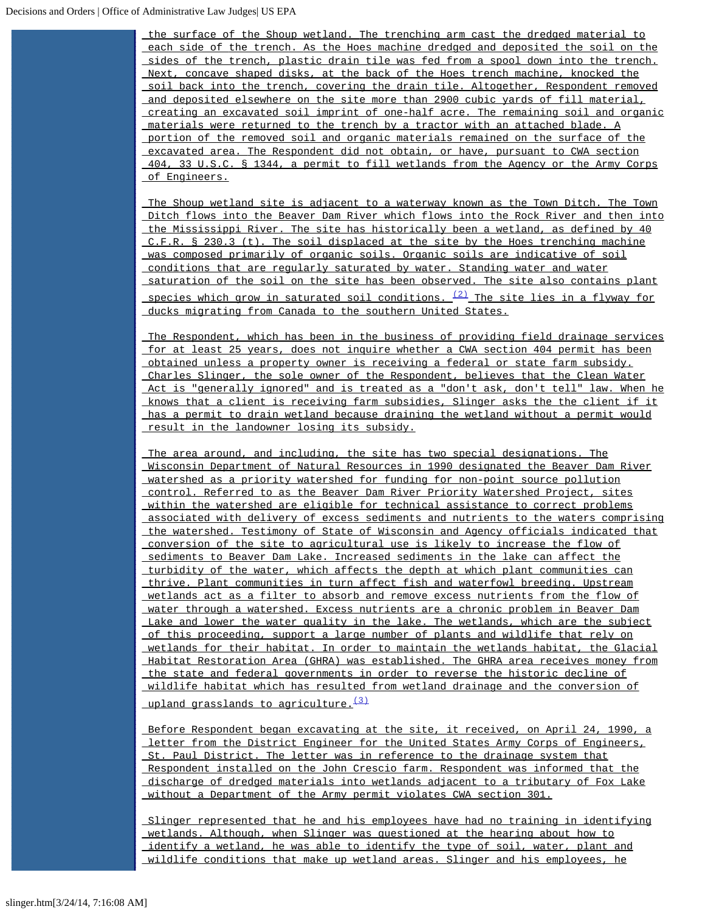the surface of the Shoup wetland. The trenching arm cast the dredged material to each side of the trench. As the Hoes machine dredged and deposited the soil on the sides of the trench, plastic drain tile was fed from a spool down into the trench. Next, concave shaped disks, at the back of the Hoes trench machine, knocked the soil back into the trench, covering the drain tile. Altogether, Respondent removed and deposited elsewhere on the site more than 2900 cubic yards of fill material, creating an excavated soil imprint of one-half acre. The remaining soil and organic materials were returned to the trench by a tractor with an attached blade. A portion of the removed soil and organic materials remained on the surface of the excavated area. The Respondent did not obtain, or have, pursuant to CWA section 404, 33 U.S.C. § 1344, a permit to fill wetlands from the Agency or the Army Corps of Engineers.

The Shoup wetland site is adjacent to a waterway known as the Town Ditch. The Town Ditch flows into the Beaver Dam River which flows into the Rock River and then into the Mississippi River. The site has historically been a wetland, as defined by 40 C.F.R. § 230.3 (t). The soil displaced at the site by the Hoes trenching machine was composed primarily of organic soils. Organic soils are indicative of soil conditions that are regularly saturated by water. Standing water and water saturation of the soil on the site has been observed. The site also contains plant species which grow in saturated soil conditions.  $\frac{(2)}{2}$  $\frac{(2)}{2}$  $\frac{(2)}{2}$  The site lies in a flyway for ducks migrating from Canada to the southern United States.

The Respondent, which has been in the business of providing field drainage services for at least 25 years, does not inquire whether a CWA section 404 permit has been obtained unless a property owner is receiving a federal or state farm subsidy. Charles Slinger, the sole owner of the Respondent, believes that the Clean Water Act is "generally ignored" and is treated as a "don't ask, don't tell" law. When he knows that a client is receiving farm subsidies, Slinger asks the the client if it has a permit to drain wetland because draining the wetland without a permit would result in the landowner losing its subsidy.

The area around, and including, the site has two special designations. The Wisconsin Department of Natural Resources in 1990 designated the Beaver Dam River watershed as a priority watershed for funding for non-point source pollution control. Referred to as the Beaver Dam River Priority Watershed Project, sites within the watershed are eligible for technical assistance to correct problems associated with delivery of excess sediments and nutrients to the waters comprising the watershed. Testimony of State of Wisconsin and Agency officials indicated that conversion of the site to agricultural use is likely to increase the flow of sediments to Beaver Dam Lake. Increased sediments in the lake can affect the turbidity of the water, which affects the depth at which plant communities can thrive. Plant communities in turn affect fish and waterfowl breeding. Upstream wetlands act as a filter to absorb and remove excess nutrients from the flow of water through a watershed. Excess nutrients are a chronic problem in Beaver Dam Lake and lower the water quality in the lake. The wetlands, which are the subject of this proceeding, support a large number of plants and wildlife that rely on wetlands for their habitat. In order to maintain the wetlands habitat, the Glacial Habitat Restoration Area (GHRA) was established. The GHRA area receives money from the state and federal governments in order to reverse the historic decline of wildlife habitat which has resulted from wetland drainage and the conversion of

upland grasslands to agriculture.<sup>[\(3\)](#page-7-2)</sup>

Before Respondent began excavating at the site, it received, on April 24, 1990, a letter from the District Engineer for the United States Army Corps of Engineers, St. Paul District. The letter was in reference to the drainage system that Respondent installed on the John Crescio farm. Respondent was informed that the discharge of dredged materials into wetlands adjacent to a tributary of Fox Lake without a Department of the Army permit violates CWA section 301.

Slinger represented that he and his employees have had no training in identifying wetlands. Although, when Slinger was questioned at the hearing about how to identify a wetland, he was able to identify the type of soil, water, plant and wildlife conditions that make up wetland areas. Slinger and his employees, he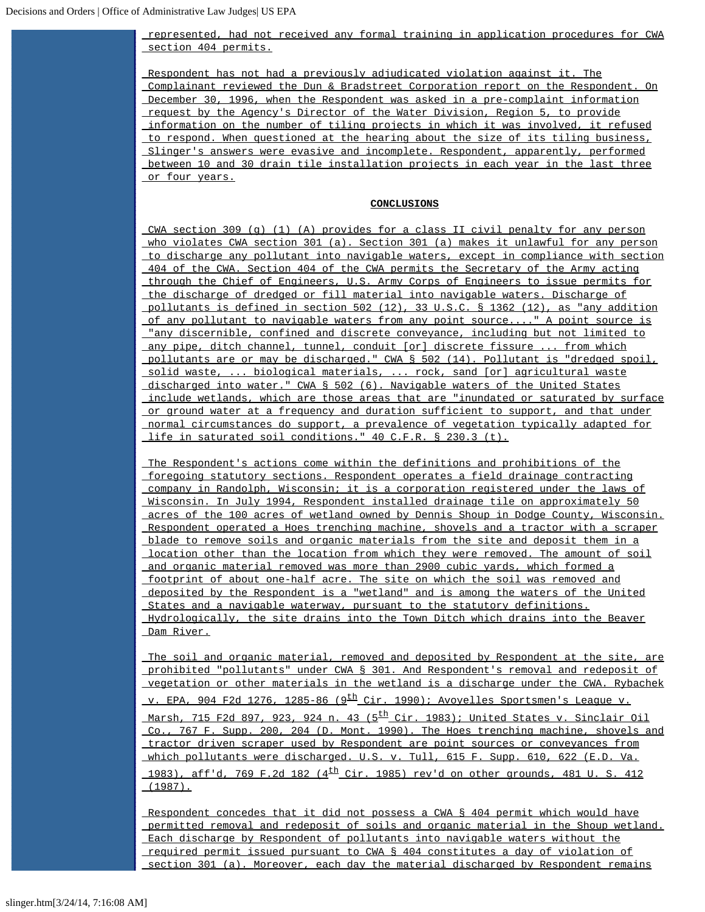# represented, had not received any formal training in application procedures for CWA section 404 permits.

Respondent has not had a previously adjudicated violation against it. The Complainant reviewed the Dun & Bradstreet Corporation report on the Respondent. On December 30, 1996, when the Respondent was asked in a pre-complaint information request by the Agency's Director of the Water Division, Region 5, to provide information on the number of tiling projects in which it was involved, it refused to respond. When questioned at the hearing about the size of its tiling business, Slinger's answers were evasive and incomplete. Respondent, apparently, performed between 10 and 30 drain tile installation projects in each year in the last three or four years.

#### **CONCLUSIONS**

CWA section 309 (g) (1) (A) provides for a class II civil penalty for any person who violates CWA section 301 (a). Section 301 (a) makes it unlawful for any person to discharge any pollutant into navigable waters, except in compliance with section 404 of the CWA. Section 404 of the CWA permits the Secretary of the Army acting through the Chief of Engineers, U.S. Army Corps of Engineers to issue permits for the discharge of dredged or fill material into navigable waters. Discharge of pollutants is defined in section 502 (12), 33 U.S.C. § 1362 (12), as "any addition of any pollutant to navigable waters from any point source...." A point source is "any discernible, confined and discrete conveyance, including but not limited to any pipe, ditch channel, tunnel, conduit [or] discrete fissure ... from which pollutants are or may be discharged." CWA § 502 (14). Pollutant is "dredged spoil, solid waste, ... biological materials, ... rock, sand [or] agricultural waste discharged into water." CWA § 502 (6). Navigable waters of the United States include wetlands, which are those areas that are "inundated or saturated by surface or ground water at a frequency and duration sufficient to support, and that under normal circumstances do support, a prevalence of vegetation typically adapted for life in saturated soil conditions." 40 C.F.R. § 230.3 (t).

The Respondent's actions come within the definitions and prohibitions of the foregoing statutory sections. Respondent operates a field drainage contracting company in Randolph, Wisconsin; it is a corporation registered under the laws of Wisconsin. In July 1994, Respondent installed drainage tile on approximately 50 acres of the 100 acres of wetland owned by Dennis Shoup in Dodge County, Wisconsin. Respondent operated a Hoes trenching machine, shovels and a tractor with a scraper blade to remove soils and organic materials from the site and deposit them in a location other than the location from which they were removed. The amount of soil and organic material removed was more than 2900 cubic yards, which formed a footprint of about one-half acre. The site on which the soil was removed and deposited by the Respondent is a "wetland" and is among the waters of the United States and a navigable waterway, pursuant to the statutory definitions. Hydrologically, the site drains into the Town Ditch which drains into the Beaver Dam River.

The soil and organic material, removed and deposited by Respondent at the site, are prohibited "pollutants" under CWA § 301. And Respondent's removal and redeposit of vegetation or other materials in the wetland is a discharge under the CWA. Rybachek v. EPA, 904 F2d 1276, 1285-86 (9<sup>th</sup> Cir. 1990); Avoyelles Sportsmen's League v. Marsh, 715 F2d 897, 923, 924 n. 43 (5<sup>th</sup> Cir. 1983); United States v. Sinclair Oil Co., 767 F. Supp. 200, 204 (D. Mont. 1990). The Hoes trenching machine, shovels and tractor driven scraper used by Respondent are point sources or conveyances from which pollutants were discharged. U.S. v. Tull, 615 F. Supp. 610, 622 (E.D. Va. 1983), aff'd, 769 F.2d 182 ( $4^{\text{th}}$  Cir. 1985) rev'd on other grounds, 481 U. S. 412  $(1987)$ .

Respondent concedes that it did not possess a CWA § 404 permit which would have permitted removal and redeposit of soils and organic material in the Shoup wetland. Each discharge by Respondent of pollutants into navigable waters without the required permit issued pursuant to CWA § 404 constitutes a day of violation of section 301 (a). Moreover, each day the material discharged by Respondent remains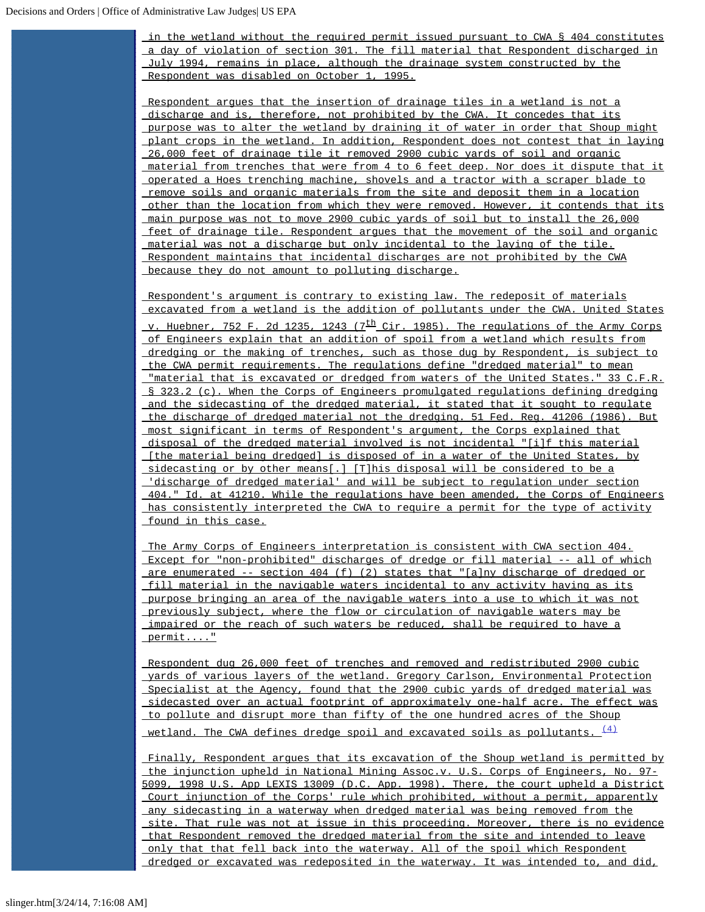in the wetland without the required permit issued pursuant to CWA § 404 constitutes a day of violation of section 301. The fill material that Respondent discharged in July 1994, remains in place, although the drainage system constructed by the Respondent was disabled on October 1, 1995.

Respondent argues that the insertion of drainage tiles in a wetland is not a discharge and is, therefore, not prohibited by the CWA. It concedes that its purpose was to alter the wetland by draining it of water in order that Shoup might plant crops in the wetland. In addition, Respondent does not contest that in laying 26,000 feet of drainage tile it removed 2900 cubic yards of soil and organic material from trenches that were from 4 to 6 feet deep. Nor does it dispute that it operated a Hoes trenching machine, shovels and a tractor with a scraper blade to remove soils and organic materials from the site and deposit them in a location other than the location from which they were removed. However, it contends that its main purpose was not to move 2900 cubic yards of soil but to install the 26,000 feet of drainage tile. Respondent argues that the movement of the soil and organic material was not a discharge but only incidental to the laying of the tile. Respondent maintains that incidental discharges are not prohibited by the CWA because they do not amount to polluting discharge.

Respondent's argument is contrary to existing law. The redeposit of materials excavated from a wetland is the addition of pollutants under the CWA. United States v. Huebner, 752 F. 2d 1235, 1243 (7<sup>th</sup> Cir. 1985). The regulations of the Army Corps of Engineers explain that an addition of spoil from a wetland which results from dredging or the making of trenches, such as those dug by Respondent, is subject to the CWA permit requirements. The regulations define "dredged material" to mean "material that is excavated or dredged from waters of the United States." 33 C.F.R. § 323.2 (c). When the Corps of Engineers promulgated regulations defining dredging and the sidecasting of the dredged material, it stated that it sought to regulate the discharge of dredged material not the dredging. 51 Fed. Reg. 41206 (1986). But most significant in terms of Respondent's argument, the Corps explained that disposal of the dredged material involved is not incidental "[i]f this material [the material being dredged] is disposed of in a water of the United States, by sidecasting or by other means[.] [T]his disposal will be considered to be a 'discharge of dredged material' and will be subject to regulation under section 404." Id. at 41210. While the regulations have been amended, the Corps of Engineers has consistently interpreted the CWA to require a permit for the type of activity found in this case.

The Army Corps of Engineers interpretation is consistent with CWA section 404. Except for "non-prohibited" discharges of dredge or fill material -- all of which are enumerated -- section 404 (f) (2) states that "[a]ny discharge of dredged or fill material in the navigable waters incidental to any activity having as its purpose bringing an area of the navigable waters into a use to which it was not previously subject, where the flow or circulation of navigable waters may be impaired or the reach of such waters be reduced, shall be required to have a permit...."

Respondent dug 26,000 feet of trenches and removed and redistributed 2900 cubic yards of various layers of the wetland. Gregory Carlson, Environmental Protection Specialist at the Agency, found that the 2900 cubic yards of dredged material was sidecasted over an actual footprint of approximately one-half acre. The effect was to pollute and disrupt more than fifty of the one hundred acres of the Shoup wetland. The CWA defines dredge spoil and excavated soils as pollutants.  $\frac{(4)}{(4)}$  $\frac{(4)}{(4)}$  $\frac{(4)}{(4)}$ 

Finally, Respondent argues that its excavation of the Shoup wetland is permitted by the injunction upheld in National Mining Assoc.v. U.S. Corps of Engineers, No. 97- 5099, 1998 U.S. App LEXIS 13009 (D.C. App. 1998). There, the court upheld a District Court injunction of the Corps' rule which prohibited, without a permit, apparently any sidecasting in a waterway when dredged material was being removed from the site. That rule was not at issue in this proceeding. Moreover, there is no evidence that Respondent removed the dredged material from the site and intended to leave only that that fell back into the waterway. All of the spoil which Respondent dredged or excavated was redeposited in the waterway. It was intended to, and did,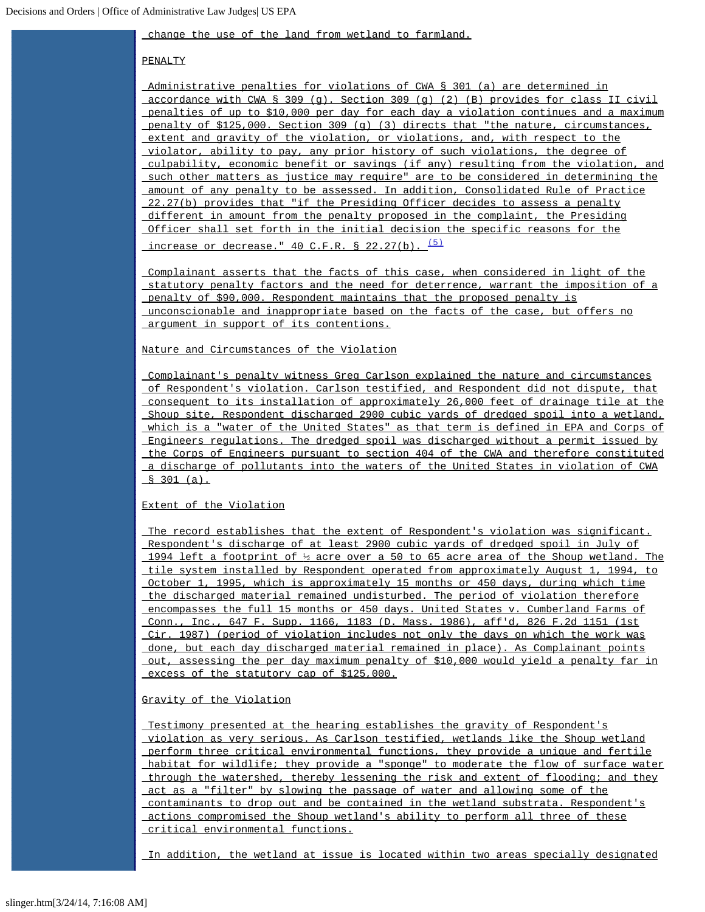change the use of the land from wetland to farmland.

### PENALTY

Administrative penalties for violations of CWA § 301 (a) are determined in accordance with CWA § 309 (g). Section 309 (g) (2) (B) provides for class II civil penalties of up to \$10,000 per day for each day a violation continues and a maximum penalty of \$125,000. Section 309 (g) (3) directs that "the nature, circumstances, extent and gravity of the violation, or violations, and, with respect to the violator, ability to pay, any prior history of such violations, the degree of culpability, economic benefit or savings (if any) resulting from the violation, and such other matters as justice may require" are to be considered in determining the amount of any penalty to be assessed. In addition, Consolidated Rule of Practice 22.27(b) provides that "if the Presiding Officer decides to assess a penalty different in amount from the penalty proposed in the complaint, the Presiding Officer shall set forth in the initial decision the specific reasons for the

increase or decrease."  $40$  C.F.R. § 22.27(b).  $(5)$ 

Complainant asserts that the facts of this case, when considered in light of the statutory penalty factors and the need for deterrence, warrant the imposition of a penalty of \$90,000. Respondent maintains that the proposed penalty is unconscionable and inappropriate based on the facts of the case, but offers no argument in support of its contentions.

Nature and Circumstances of the Violation

Complainant's penalty witness Greg Carlson explained the nature and circumstances of Respondent's violation. Carlson testified, and Respondent did not dispute, that consequent to its installation of approximately 26,000 feet of drainage tile at the Shoup site, Respondent discharged 2900 cubic yards of dredged spoil into a wetland, which is a "water of the United States" as that term is defined in EPA and Corps of Engineers regulations. The dredged spoil was discharged without a permit issued by the Corps of Engineers pursuant to section 404 of the CWA and therefore constituted a discharge of pollutants into the waters of the United States in violation of CWA  $$301 (a).$ 

## Extent of the Violation

The record establishes that the extent of Respondent's violation was significant. Respondent's discharge of at least 2900 cubic yards of dredged spoil in July of 1994 left a footprint of  $\frac{1}{2}$  acre over a 50 to 65 acre area of the Shoup wetland. The tile system installed by Respondent operated from approximately August 1, 1994, to October 1, 1995, which is approximately 15 months or 450 days, during which time the discharged material remained undisturbed. The period of violation therefore encompasses the full 15 months or 450 days. United States v. Cumberland Farms of Conn., Inc., 647 F. Supp. 1166, 1183 (D. Mass. 1986), aff'd, 826 F.2d 1151 (1st Cir. 1987) (period of violation includes not only the days on which the work was done, but each day discharged material remained in place). As Complainant points out, assessing the per day maximum penalty of \$10,000 would yield a penalty far in excess of the statutory cap of \$125,000.

### Gravity of the Violation

Testimony presented at the hearing establishes the gravity of Respondent's violation as very serious. As Carlson testified, wetlands like the Shoup wetland perform three critical environmental functions, they provide a unique and fertile habitat for wildlife; they provide a "sponge" to moderate the flow of surface water through the watershed, thereby lessening the risk and extent of flooding; and they act as a "filter" by slowing the passage of water and allowing some of the contaminants to drop out and be contained in the wetland substrata. Respondent's actions compromised the Shoup wetland's ability to perform all three of these critical environmental functions.

In addition, the wetland at issue is located within two areas specially designated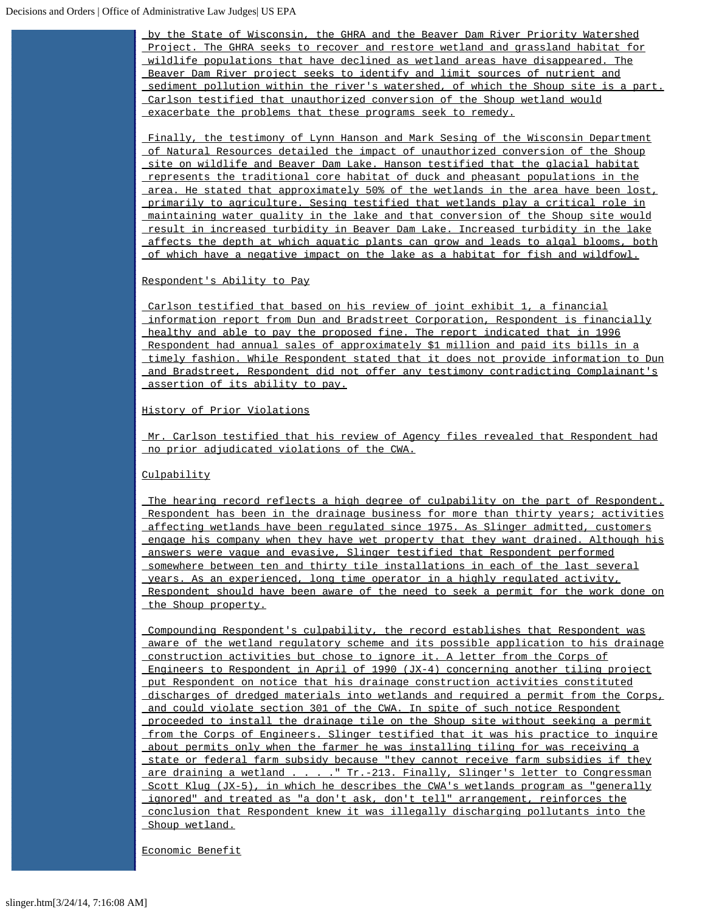by the State of Wisconsin, the GHRA and the Beaver Dam River Priority Watershed Project. The GHRA seeks to recover and restore wetland and grassland habitat for wildlife populations that have declined as wetland areas have disappeared. The Beaver Dam River project seeks to identify and limit sources of nutrient and sediment pollution within the river's watershed, of which the Shoup site is a part. Carlson testified that unauthorized conversion of the Shoup wetland would exacerbate the problems that these programs seek to remedy.

Finally, the testimony of Lynn Hanson and Mark Sesing of the Wisconsin Department of Natural Resources detailed the impact of unauthorized conversion of the Shoup site on wildlife and Beaver Dam Lake. Hanson testified that the glacial habitat represents the traditional core habitat of duck and pheasant populations in the area. He stated that approximately 50% of the wetlands in the area have been lost, primarily to agriculture. Sesing testified that wetlands play a critical role in maintaining water quality in the lake and that conversion of the Shoup site would result in increased turbidity in Beaver Dam Lake. Increased turbidity in the lake affects the depth at which aquatic plants can grow and leads to algal blooms, both of which have a negative impact on the lake as a habitat for fish and wildfowl.

### Respondent's Ability to Pay

Carlson testified that based on his review of joint exhibit 1, a financial information report from Dun and Bradstreet Corporation, Respondent is financially healthy and able to pay the proposed fine. The report indicated that in 1996 Respondent had annual sales of approximately \$1 million and paid its bills in a timely fashion. While Respondent stated that it does not provide information to Dun and Bradstreet, Respondent did not offer any testimony contradicting Complainant's assertion of its ability to pay.

### History of Prior Violations

Mr. Carlson testified that his review of Agency files revealed that Respondent had no prior adjudicated violations of the CWA.

### Culpability

The hearing record reflects a high degree of culpability on the part of Respondent. Respondent has been in the drainage business for more than thirty years; activities affecting wetlands have been regulated since 1975. As Slinger admitted, customers engage his company when they have wet property that they want drained. Although his answers were vague and evasive, Slinger testified that Respondent performed somewhere between ten and thirty tile installations in each of the last several years. As an experienced, long time operator in a highly regulated activity, Respondent should have been aware of the need to seek a permit for the work done on the Shoup property.

Compounding Respondent's culpability, the record establishes that Respondent was aware of the wetland regulatory scheme and its possible application to his drainage construction activities but chose to ignore it. A letter from the Corps of Engineers to Respondent in April of 1990 (JX-4) concerning another tiling project put Respondent on notice that his drainage construction activities constituted discharges of dredged materials into wetlands and required a permit from the Corps, and could violate section 301 of the CWA. In spite of such notice Respondent proceeded to install the drainage tile on the Shoup site without seeking a permit from the Corps of Engineers. Slinger testified that it was his practice to inquire about permits only when the farmer he was installing tiling for was receiving a state or federal farm subsidy because "they cannot receive farm subsidies if they are draining a wetland . . . . " Tr.-213. Finally, Slinger's letter to Congressman Scott Klug (JX-5), in which he describes the CWA's wetlands program as "generally ignored" and treated as "a don't ask, don't tell" arrangement, reinforces the conclusion that Respondent knew it was illegally discharging pollutants into the Shoup wetland.

Economic Benefit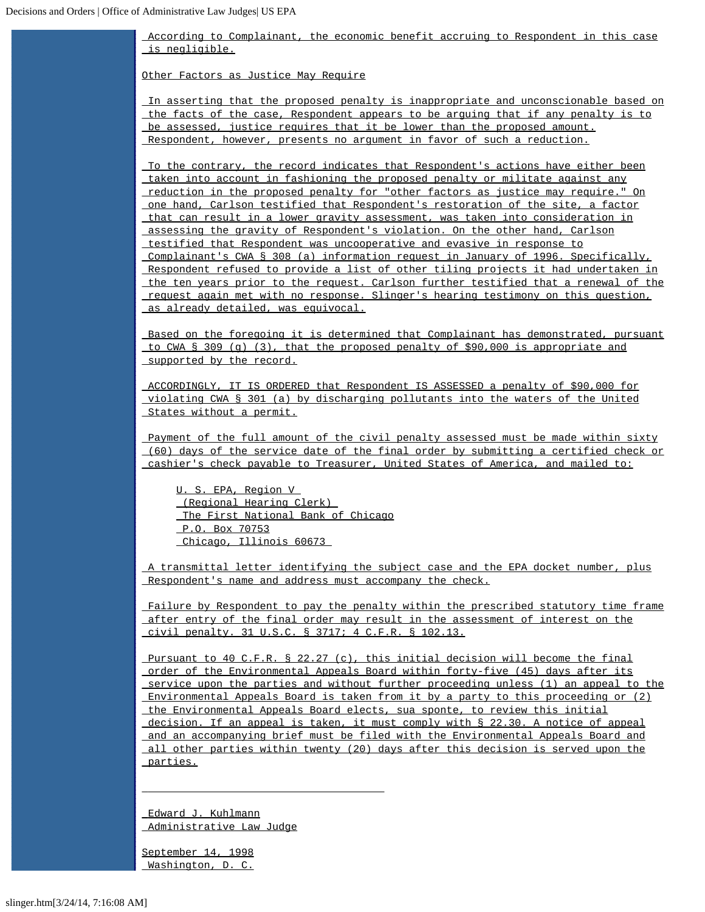According to Complainant, the economic benefit accruing to Respondent in this case is negligible.

Other Factors as Justice May Require

In asserting that the proposed penalty is inappropriate and unconscionable based on the facts of the case, Respondent appears to be arguing that if any penalty is to be assessed, justice requires that it be lower than the proposed amount. Respondent, however, presents no argument in favor of such a reduction.

To the contrary, the record indicates that Respondent's actions have either been taken into account in fashioning the proposed penalty or militate against any reduction in the proposed penalty for "other factors as justice may require." On one hand, Carlson testified that Respondent's restoration of the site, a factor that can result in a lower gravity assessment, was taken into consideration in assessing the gravity of Respondent's violation. On the other hand, Carlson testified that Respondent was uncooperative and evasive in response to Complainant's CWA § 308 (a) information request in January of 1996. Specifically, Respondent refused to provide a list of other tiling projects it had undertaken in the ten years prior to the request. Carlson further testified that a renewal of the request again met with no response. Slinger's hearing testimony on this question, as already detailed, was equivocal.

Based on the foregoing it is determined that Complainant has demonstrated, pursuant to CWA § 309 (g) (3), that the proposed penalty of \$90,000 is appropriate and supported by the record.

ACCORDINGLY, IT IS ORDERED that Respondent IS ASSESSED a penalty of \$90,000 for violating CWA § 301 (a) by discharging pollutants into the waters of the United States without a permit.

Payment of the full amount of the civil penalty assessed must be made within sixty (60) days of the service date of the final order by submitting a certified check or cashier's check payable to Treasurer, United States of America, and mailed to:

U. S. EPA, Region V (Regional Hearing Clerk) The First National Bank of Chicago P.O. Box 70753 Chicago, Illinois 60673

A transmittal letter identifying the subject case and the EPA docket number, plus Respondent's name and address must accompany the check.

Failure by Respondent to pay the penalty within the prescribed statutory time frame after entry of the final order may result in the assessment of interest on the civil penalty. 31 U.S.C. § 3717; 4 C.F.R. § 102.13.

Pursuant to 40 C.F.R. § 22.27 (c), this initial decision will become the final order of the Environmental Appeals Board within forty-five (45) days after its service upon the parties and without further proceeding unless (1) an appeal to the Environmental Appeals Board is taken from it by a party to this proceeding or (2) the Environmental Appeals Board elects, sua sponte, to review this initial decision. If an appeal is taken, it must comply with § 22.30. A notice of appeal and an accompanying brief must be filed with the Environmental Appeals Board and all other parties within twenty (20) days after this decision is served upon the parties.

Edward J. Kuhlmann Administrative Law Judge

 $\overline{\phantom{a}}$  , and the contract of the contract of  $\overline{\phantom{a}}$ 

September 14, 1998 Washington, D. C.